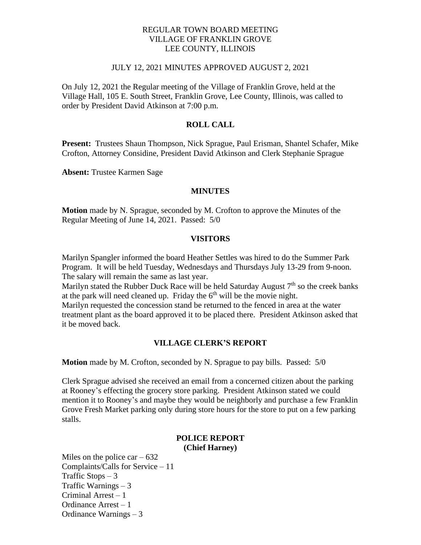### REGULAR TOWN BOARD MEETING VILLAGE OF FRANKLIN GROVE LEE COUNTY, ILLINOIS

#### JULY 12, 2021 MINUTES APPROVED AUGUST 2, 2021

On July 12, 2021 the Regular meeting of the Village of Franklin Grove, held at the Village Hall, 105 E. South Street, Franklin Grove, Lee County, Illinois, was called to order by President David Atkinson at 7:00 p.m.

### **ROLL CALL**

**Present:** Trustees Shaun Thompson, Nick Sprague, Paul Erisman, Shantel Schafer, Mike Crofton, Attorney Considine, President David Atkinson and Clerk Stephanie Sprague

**Absent:** Trustee Karmen Sage

#### **MINUTES**

**Motion** made by N. Sprague, seconded by M. Crofton to approve the Minutes of the Regular Meeting of June 14, 2021. Passed: 5/0

#### **VISITORS**

Marilyn Spangler informed the board Heather Settles was hired to do the Summer Park Program. It will be held Tuesday, Wednesdays and Thursdays July 13-29 from 9-noon. The salary will remain the same as last year.

Marilyn stated the Rubber Duck Race will be held Saturday August  $7<sup>th</sup>$  so the creek banks at the park will need cleaned up. Friday the  $6<sup>th</sup>$  will be the movie night.

Marilyn requested the concession stand be returned to the fenced in area at the water treatment plant as the board approved it to be placed there. President Atkinson asked that it be moved back.

#### **VILLAGE CLERK'S REPORT**

**Motion** made by M. Crofton, seconded by N. Sprague to pay bills. Passed: 5/0

Clerk Sprague advised she received an email from a concerned citizen about the parking at Rooney's effecting the grocery store parking. President Atkinson stated we could mention it to Rooney's and maybe they would be neighborly and purchase a few Franklin Grove Fresh Market parking only during store hours for the store to put on a few parking stalls.

#### **POLICE REPORT (Chief Harney)**

Miles on the police car  $-632$ Complaints/Calls for Service – 11 Traffic Stops  $-3$ Traffic Warnings – 3 Criminal Arrest – 1 Ordinance Arrest – 1 Ordinance Warnings – 3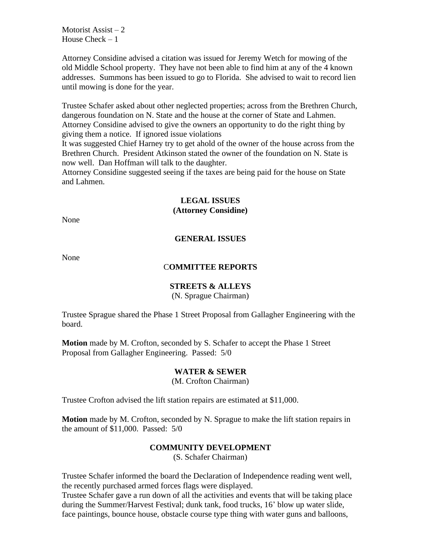Motorist Assist  $-2$ House  $Check - 1$ 

Attorney Considine advised a citation was issued for Jeremy Wetch for mowing of the old Middle School property. They have not been able to find him at any of the 4 known addresses. Summons has been issued to go to Florida. She advised to wait to record lien until mowing is done for the year.

Trustee Schafer asked about other neglected properties; across from the Brethren Church, dangerous foundation on N. State and the house at the corner of State and Lahmen. Attorney Considine advised to give the owners an opportunity to do the right thing by giving them a notice. If ignored issue violations

It was suggested Chief Harney try to get ahold of the owner of the house across from the Brethren Church. President Atkinson stated the owner of the foundation on N. State is now well. Dan Hoffman will talk to the daughter.

Attorney Considine suggested seeing if the taxes are being paid for the house on State and Lahmen.

# **LEGAL ISSUES (Attorney Considine)**

None

## **GENERAL ISSUES**

None

#### C**OMMITTEE REPORTS**

### **STREETS & ALLEYS**

(N. Sprague Chairman)

Trustee Sprague shared the Phase 1 Street Proposal from Gallagher Engineering with the board.

**Motion** made by M. Crofton, seconded by S. Schafer to accept the Phase 1 Street Proposal from Gallagher Engineering. Passed: 5/0

#### **WATER & SEWER**

(M. Crofton Chairman)

Trustee Crofton advised the lift station repairs are estimated at \$11,000.

**Motion** made by M. Crofton, seconded by N. Sprague to make the lift station repairs in the amount of \$11,000. Passed: 5/0

### **COMMUNITY DEVELOPMENT**

(S. Schafer Chairman)

Trustee Schafer informed the board the Declaration of Independence reading went well, the recently purchased armed forces flags were displayed.

Trustee Schafer gave a run down of all the activities and events that will be taking place during the Summer/Harvest Festival; dunk tank, food trucks, 16' blow up water slide, face paintings, bounce house, obstacle course type thing with water guns and balloons,